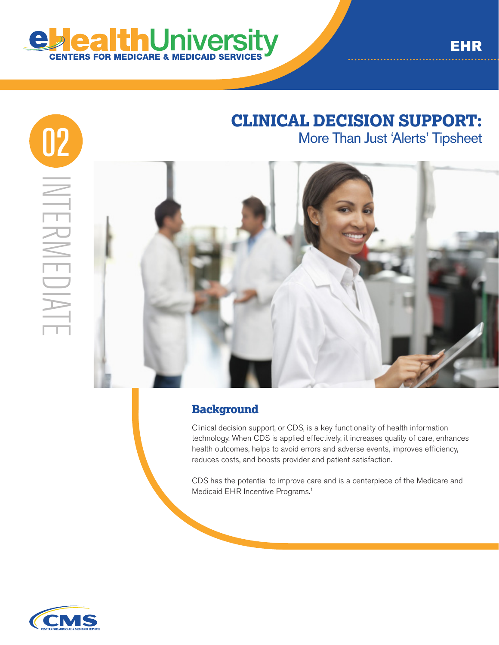

# **CLINICAL DECISION SUPPORT:**



## **Background**

Clinical decision support, or CDS, is a key functionality of health information technology. When CDS is applied effectively, it increases quality of care, enhances health outcomes, helps to avoid errors and adverse events, improves efficiency, reduces costs, and boosts provider and patient satisfaction.

CDS has the potential to improve care and is a centerpiece of the Medicare and Medicaid EHR Incentive Programs.<sup>1</sup>

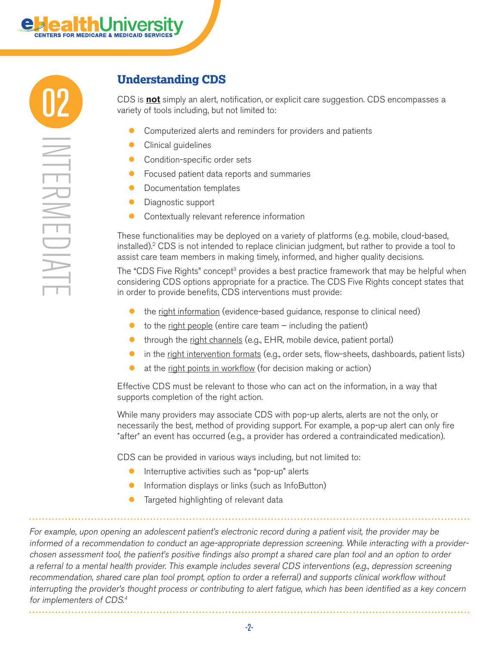

## **Understanding CDS**

CDS is **not** simply an alert, notification, or explicit care suggestion. CDS encompasses a variety of tools including, but not limited to:

- **Computerized alerts and reminders for providers and patients**
- Clinical guidelines
- **Condition-specific order sets**
- **•** Focused patient data reports and summaries
- **•** Documentation templates
- Diagnostic support
- **Contextually relevant reference information**

These functionalities may be deployed on a variety of platforms (e.g. mobile, cloud-based, installed).2 CDS is not intended to replace clinician judgment, but rather to provide a tool to assist care team members in making timely, informed, and higher quality decisions.

The "CDS Five Rights" concept<sup>3</sup> provides a best practice framework that may be helpful when considering CDS options appropriate for a practice. The CDS Five Rights concept states that in order to provide benefits, CDS interventions must provide:

- **the right information** (evidence-based guidance, response to clinical need)
- $\bullet$  to the right people (entire care team  $-$  including the patient)
- **through the right channels (e.g., EHR, mobile device, patient portal)**
- **In the right intervention formats (e.g., order sets, flow-sheets, dashboards, patient lists)**
- at the right points in workflow (for decision making or action)

Effective CDS must be relevant to those who can act on the information, in a way that supports completion of the right action.

While many providers may associate CDS with pop-up alerts, alerts are not the only, or necessarily the best, method of providing support. For example, a pop-up alert can only fire \*after\* an event has occurred (e.g., a provider has ordered a contraindicated medication).

CDS can be provided in various ways including, but not limited to:

- $\bullet$  Interruptive activities such as "pop-up" alerts
- Information displays or links (such as InfoButton)
- **•** Targeted highlighting of relevant data

For example, upon opening an adolescent patient's electronic record during a patient visit, the provider may be informed of a recommendation to conduct an age-appropriate depression screening. While interacting with a providerchosen assessment tool, the patient's positive findings also prompt a shared care plan tool and an option to order a referral to a mental health provider. This example includes several CDS interventions (e.g., depression screening recommendation, shared care plan tool prompt, option to order a referral) and supports clinical workflow without interrupting the provider's thought process or contributing to alert fatigue, which has been identified as a key concern for implementers of CDS.<sup>4</sup>

-2-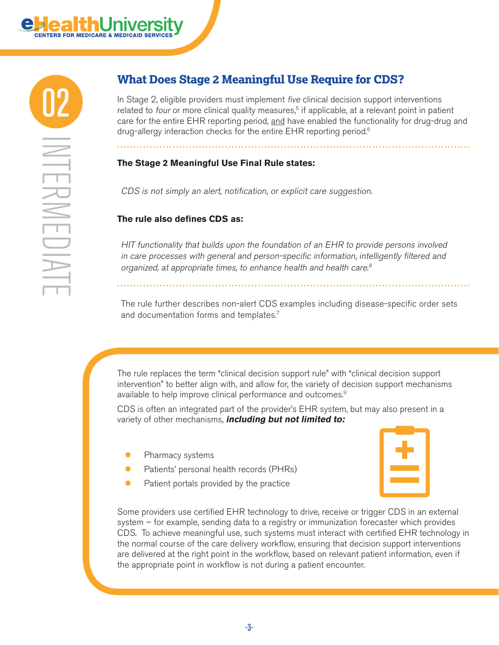

## **What Does Stage 2 Meaningful Use Require for CDS?**

In Stage 2, eligible providers must implement *five* clinical decision support interventions related to *four* or more clinical quality measures,<sup>5</sup> if applicable, at a relevant point in patient care for the entire EHR reporting period, and have enabled the functionality for drug-drug and drug-allergy interaction checks for the entire EHR reporting period.<sup>6</sup>

#### **The Stage 2 Meaningful Use Final Rule states:**

CDS is not simply an alert, notification, or explicit care suggestion.

#### **The rule also defines CDS as:**

HIT functionality that builds upon the foundation of an EHR to provide persons involved in care processes with general and person-specific information, intelligently filtered and organized, at appropriate times, to enhance health and health care.<sup>8</sup>

The rule further describes non-alert CDS examples including disease-specific order sets and documentation forms and templates.7

The rule replaces the term "clinical decision support rule" with "clinical decision support intervention" to better align with, and allow for, the variety of decision support mechanisms available to help improve clinical performance and outcomes.9

CDS is often an integrated part of the provider's EHR system, but may also present in a variety of other mechanisms, **including but not limited to:** 

- Pharmacy systems
- **•** Patients' personal health records (PHRs)
- $\bullet$  Patient portals provided by the practice



Some providers use certified EHR technology to drive, receive or trigger CDS in an external system – for example, sending data to a registry or immunization forecaster which provides CDS. To achieve meaningful use, such systems must interact with certified EHR technology in the normal course of the care delivery workflow, ensuring that decision support interventions are delivered at the right point in the workflow, based on relevant patient information, even if the appropriate point in workflow is not during a patient encounter.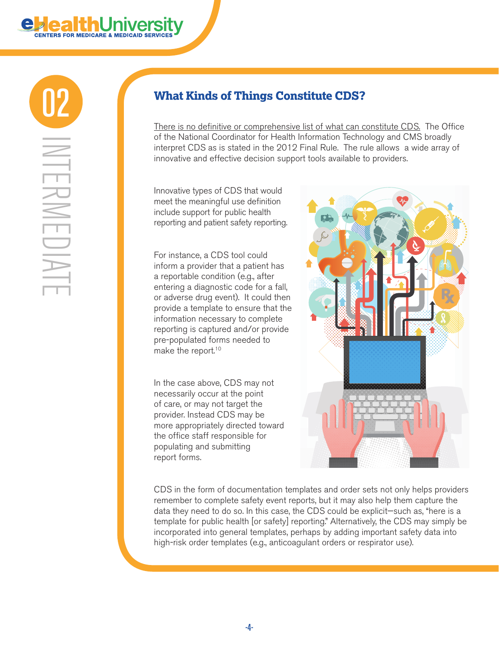

INTERMEDIATE TFRWED

## 02 **What Kinds of Things Constitute CDS?**

There is no definitive or comprehensive list of what can constitute CDS. The Office of the National Coordinator for Health Information Technology and CMS broadly interpret CDS as is stated in the 2012 Final Rule. The rule allows a wide array of innovative and effective decision support tools available to providers.

Innovative types of CDS that would meet the meaningful use definition include support for public health reporting and patient safety reporting.

For instance, a CDS tool could inform a provider that a patient has a reportable condition (e.g., after entering a diagnostic code for a fall, or adverse drug event). It could then provide a template to ensure that the information necessary to complete reporting is captured and/or provide pre-populated forms needed to make the report.10

In the case above, CDS may not necessarily occur at the point of care, or may not target the provider. Instead CDS may be more appropriately directed toward the office staff responsible for populating and submitting report forms.



CDS in the form of documentation templates and order sets not only helps providers remember to complete safety event reports, but it may also help them capture the data they need to do so. In this case, the CDS could be explicit—such as, "here is a template for public health [or safety] reporting." Alternatively, the CDS may simply be incorporated into general templates, perhaps by adding important safety data into high-risk order templates (e.g., anticoagulant orders or respirator use).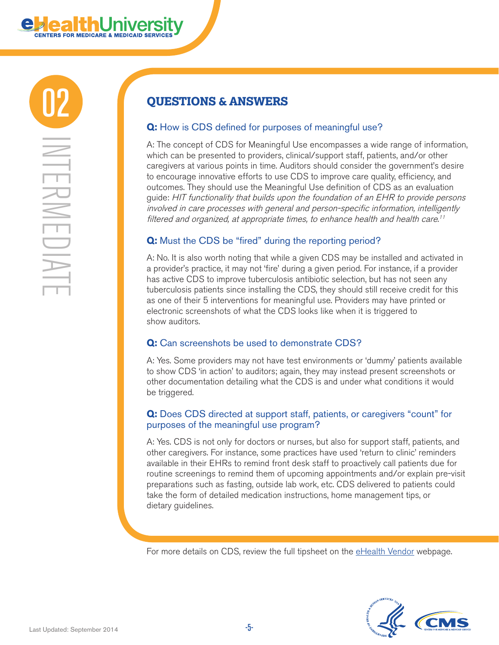

## 02 **QUESTIONS & ANSWERS**

### **Q:** How is CDS defined for purposes of meaningful use?

A: The concept of CDS for Meaningful Use encompasses a wide range of information, which can be presented to providers, clinical/support staff, patients, and/or other caregivers at various points in time. Auditors should consider the government's desire to encourage innovative efforts to use CDS to improve care quality, efficiency, and outcomes. They should use the Meaningful Use definition of CDS as an evaluation guide: HIT functionality that builds upon the foundation of an EHR to provide persons involved in care processes with general and person-specific information, intelligently filtered and organized, at appropriate times, to enhance health and health care.<sup>11</sup>

#### **Q:** Must the CDS be "fired" during the reporting period?

A: No. It is also worth noting that while a given CDS may be installed and activated in a provider's practice, it may not 'fire' during a given period. For instance, if a provider has active CDS to improve tuberculosis antibiotic selection, but has not seen any tuberculosis patients since installing the CDS, they should still receive credit for this as one of their 5 interventions for meaningful use. Providers may have printed or electronic screenshots of what the CDS looks like when it is triggered to show auditors.

## **Q:** Can screenshots be used to demonstrate CDS?

A: Yes. Some providers may not have test environments or 'dummy' patients available to show CDS 'in action' to auditors; again, they may instead present screenshots or other documentation detailing what the CDS is and under what conditions it would be triggered.

#### **Q:** Does CDS directed at support staff, patients, or caregivers "count" for purposes of the meaningful use program?

A: Yes. CDS is not only for doctors or nurses, but also for support staff, patients, and other caregivers. For instance, some practices have used 'return to clinic' reminders available in their EHRs to remind front desk staff to proactively call patients due for routine screenings to remind them of upcoming appointments and/or explain pre-visit preparations such as fasting, outside lab work, etc. CDS delivered to patients could take the form of detailed medication instructions, home management tips, or dietary guidelines.

For more details on CDS, review the full tipsheet on the [eHealth Vendor](http://www.cms.gov/eHealth/vendors.html) webpage.